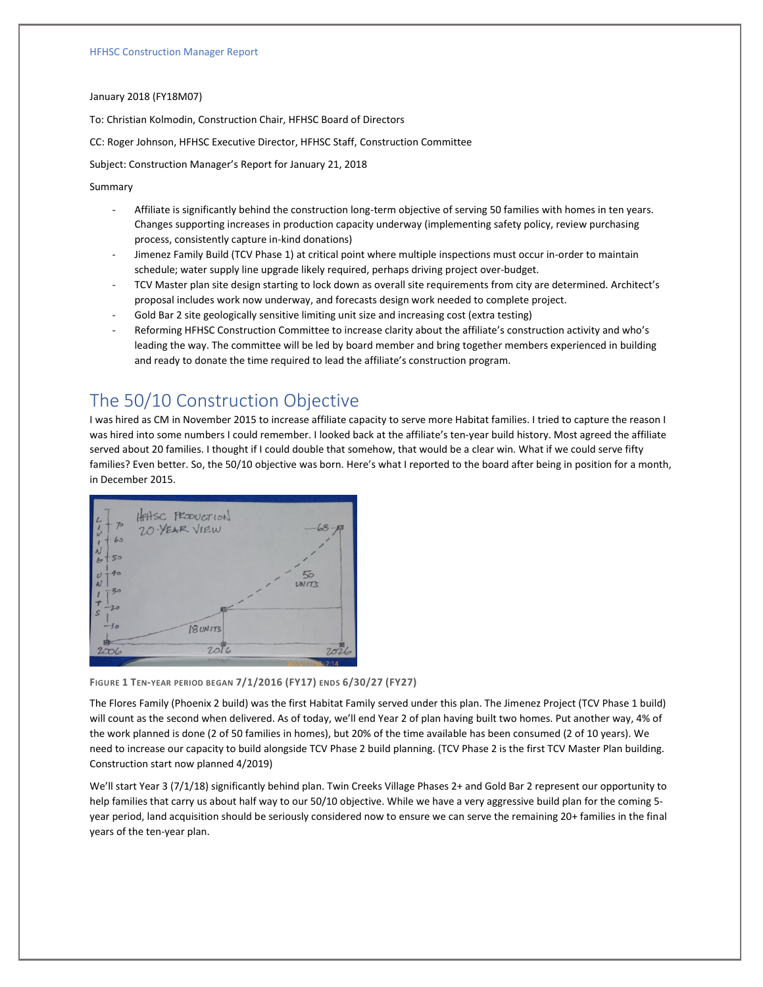#### January 2018 (FY18M07)

To: Christian Kolmodin, Construction Chair, HFHSC Board of Directors

CC: Roger Johnson, HFHSC Executive Director, HFHSC Staff, Construction Committee

Subject: Construction Manager's Report for January 21, 2018

### Summary

- Affiliate is significantly behind the construction long-term objective of serving 50 families with homes in ten years. Changes supporting increases in production capacity underway (implementing safety policy, review purchasing process, consistently capture in-kind donations)
- Jimenez Family Build (TCV Phase 1) at critical point where multiple inspections must occur in-order to maintain schedule; water supply line upgrade likely required, perhaps driving project over-budget.
- TCV Master plan site design starting to lock down as overall site requirements from city are determined. Architect's proposal includes work now underway, and forecasts design work needed to complete project.
- Gold Bar 2 site geologically sensitive limiting unit size and increasing cost (extra testing)
- Reforming HFHSC Construction Committee to increase clarity about the affiliate's construction activity and who's leading the way. The committee will be led by board member and bring together members experienced in building and ready to donate the time required to lead the affiliate's construction program.

# The 50/10 Construction Objective

I was hired as CM in November 2015 to increase affiliate capacity to serve more Habitat families. I tried to capture the reason I was hired into some numbers I could remember. I looked back at the affiliate's ten-year build history. Most agreed the affiliate served about 20 families. I thought if I could double that somehow, that would be a clear win. What if we could serve fifty families? Even better. So, the 50/10 objective was born. Here's what I reported to the board after being in position for a month, in December 2015.



#### **FIGURE 1 TEN-YEAR PERIOD BEGAN 7/1/2016 (FY17) ENDS 6/30/27 (FY27)**

The Flores Family (Phoenix 2 build) was the first Habitat Family served under this plan. The Jimenez Project (TCV Phase 1 build) will count as the second when delivered. As of today, we'll end Year 2 of plan having built two homes. Put another way, 4% of the work planned is done (2 of 50 families in homes), but 20% of the time available has been consumed (2 of 10 years). We need to increase our capacity to build alongside TCV Phase 2 build planning. (TCV Phase 2 is the first TCV Master Plan building. Construction start now planned 4/2019)

We'll start Year 3 (7/1/18) significantly behind plan. Twin Creeks Village Phases 2+ and Gold Bar 2 represent our opportunity to help families that carry us about half way to our 50/10 objective. While we have a very aggressive build plan for the coming 5 year period, land acquisition should be seriously considered now to ensure we can serve the remaining 20+ families in the final years of the ten-year plan.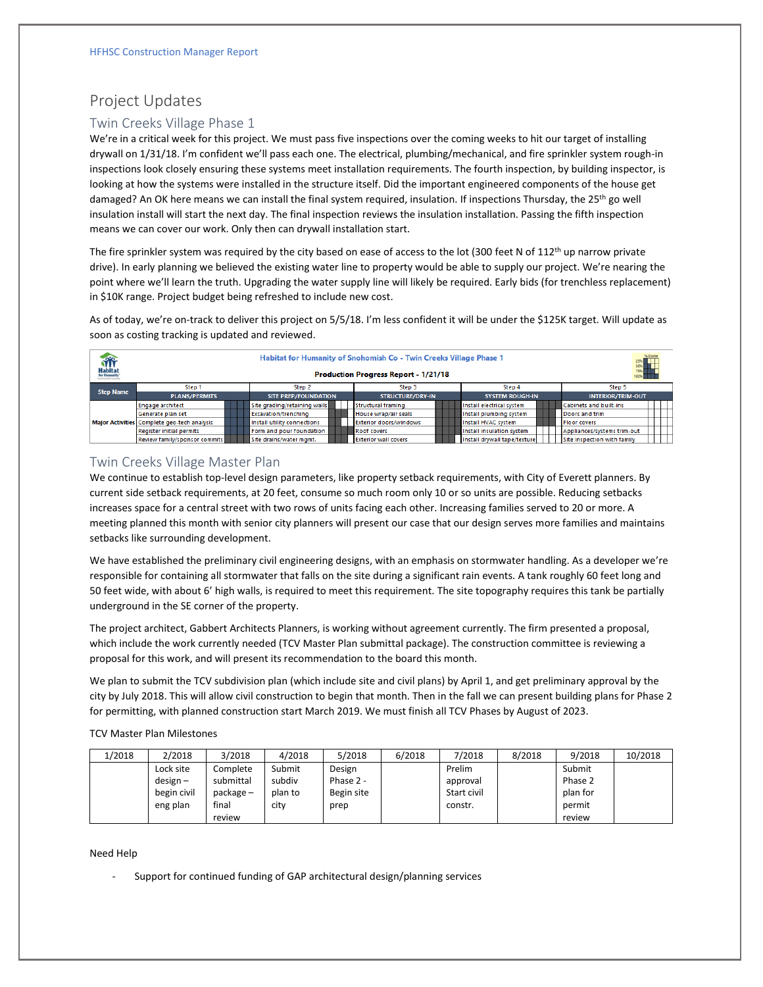# Project Updates

## Twin Creeks Village Phase 1

We're in a critical week for this project. We must pass five inspections over the coming weeks to hit our target of installing drywall on 1/31/18. I'm confident we'll pass each one. The electrical, plumbing/mechanical, and fire sprinkler system rough-in inspections look closely ensuring these systems meet installation requirements. The fourth inspection, by building inspector, is looking at how the systems were installed in the structure itself. Did the important engineered components of the house get damaged? An OK here means we can install the final system required, insulation. If inspections Thursday, the 25<sup>th</sup> go well insulation install will start the next day. The final inspection reviews the insulation installation. Passing the fifth inspection means we can cover our work. Only then can drywall installation start.

The fire sprinkler system was required by the city based on ease of access to the lot (300 feet N of  $112<sup>th</sup>$  up narrow private drive). In early planning we believed the existing water line to property would be able to supply our project. We're nearing the point where we'll learn the truth. Upgrading the water supply line will likely be required. Early bids (for trenchless replacement) in \$10K range. Project budget being refreshed to include new cost.

As of today, we're on-track to deliver this project on 5/5/18. I'm less confident it will be under the \$125K target. Will update as soon as costing tracking is updated and reviewed.

| <b>Habitat</b>   | % Done<br>Habitat for Humanity of Snohomish Co - Twin Creeks Village Phase 1<br>25%<br>50%<br>75%<br>100%<br><b>Production Progress Report - 1/21/18</b> |  |                              |  |                               |                              |                               |  |  |  |  |  |  |  |
|------------------|----------------------------------------------------------------------------------------------------------------------------------------------------------|--|------------------------------|--|-------------------------------|------------------------------|-------------------------------|--|--|--|--|--|--|--|
| <b>Step Name</b> | Step 1                                                                                                                                                   |  | Step 2                       |  | Step 3                        | Step 4                       | Step 5                        |  |  |  |  |  |  |  |
|                  | <b>PLANS/PERMITS</b>                                                                                                                                     |  | <b>SITE PREP/FOUNDATION</b>  |  | STRUCTURE/DRY-IN              | <b>SYSTEM ROUGH-IN</b>       | <b>INTERIOR/TRIM-OUT</b>      |  |  |  |  |  |  |  |
|                  | <b>Engage architect</b>                                                                                                                                  |  | Site grading/retaining walls |  | <b>Structural framing</b>     | Install electrical system    | <b>Cabinets and built-ins</b> |  |  |  |  |  |  |  |
|                  | Generate plan set                                                                                                                                        |  | Excavation/trenching         |  | House wrap/air seals          | Install plumbing system      | Doors and trim                |  |  |  |  |  |  |  |
|                  | Major Activities Complete geo-tech analysis                                                                                                              |  | Install utility connections  |  | <b>Exterior doors/windows</b> | Install HVAC system          | <b>Floor covers</b>           |  |  |  |  |  |  |  |
|                  | <b>Register initial permits</b>                                                                                                                          |  | Form and pour foundation     |  | Roof covers                   | Install insulation system    | Appliances/systems trim-out   |  |  |  |  |  |  |  |
|                  | Review family/sponsor commits                                                                                                                            |  | Site drains/water mgmt.      |  | <b>Exterior wall covers</b>   | Install drywall tape/texture | Site inspection with family   |  |  |  |  |  |  |  |

## Twin Creeks Village Master Plan

We continue to establish top-level design parameters, like property setback requirements, with City of Everett planners. By current side setback requirements, at 20 feet, consume so much room only 10 or so units are possible. Reducing setbacks increases space for a central street with two rows of units facing each other. Increasing families served to 20 or more. A meeting planned this month with senior city planners will present our case that our design serves more families and maintains setbacks like surrounding development.

We have established the preliminary civil engineering designs, with an emphasis on stormwater handling. As a developer we're responsible for containing all stormwater that falls on the site during a significant rain events. A tank roughly 60 feet long and 50 feet wide, with about 6' high walls, is required to meet this requirement. The site topography requires this tank be partially underground in the SE corner of the property.

The project architect, Gabbert Architects Planners, is working without agreement currently. The firm presented a proposal, which include the work currently needed (TCV Master Plan submittal package). The construction committee is reviewing a proposal for this work, and will present its recommendation to the board this month.

We plan to submit the TCV subdivision plan (which include site and civil plans) by April 1, and get preliminary approval by the city by July 2018. This will allow civil construction to begin that month. Then in the fall we can present building plans for Phase 2 for permitting, with planned construction start March 2019. We must finish all TCV Phases by August of 2023.

TCV Master Plan Milestones

| 1/2018 | 2/2018      | 3/2018    | 4/2018  | 5/2018     | 6/2018 | 7/2018      | 8/2018 | 9/2018   | 10/2018 |
|--------|-------------|-----------|---------|------------|--------|-------------|--------|----------|---------|
|        | Lock site   | Complete  | Submit  | Design     |        | Prelim      |        | Submit   |         |
|        | $design -$  | submittal | subdiv  | Phase 2 -  |        | approval    |        | Phase 2  |         |
|        | begin civil | package – | plan to | Begin site |        | Start civil |        | plan for |         |
|        | eng plan    | final     | city    | prep       |        | constr.     |        | permit   |         |
|        |             | review    |         |            |        |             |        | review   |         |

Need Help

Support for continued funding of GAP architectural design/planning services